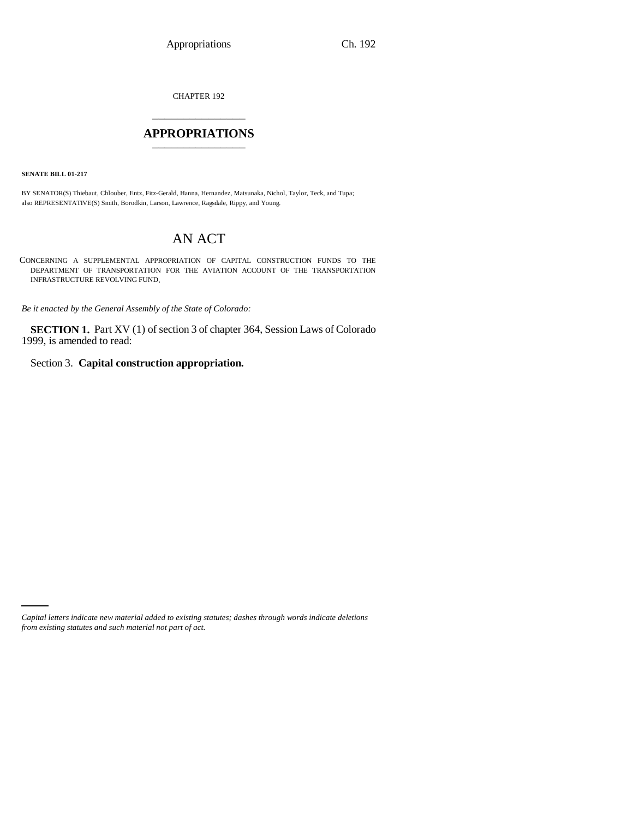CHAPTER 192 \_\_\_\_\_\_\_\_\_\_\_\_\_\_\_

## **APPROPRIATIONS** \_\_\_\_\_\_\_\_\_\_\_\_\_\_\_

**SENATE BILL 01-217**

BY SENATOR(S) Thiebaut, Chlouber, Entz, Fitz-Gerald, Hanna, Hernandez, Matsunaka, Nichol, Taylor, Teck, and Tupa; also REPRESENTATIVE(S) Smith, Borodkin, Larson, Lawrence, Ragsdale, Rippy, and Young.

## AN ACT

CONCERNING A SUPPLEMENTAL APPROPRIATION OF CAPITAL CONSTRUCTION FUNDS TO THE DEPARTMENT OF TRANSPORTATION FOR THE AVIATION ACCOUNT OF THE TRANSPORTATION INFRASTRUCTURE REVOLVING FUND.

*Be it enacted by the General Assembly of the State of Colorado:*

**SECTION 1.** Part XV (1) of section 3 of chapter 364, Session Laws of Colorado 1999, is amended to read:

Section 3. **Capital construction appropriation.**

*Capital letters indicate new material added to existing statutes; dashes through words indicate deletions from existing statutes and such material not part of act.*